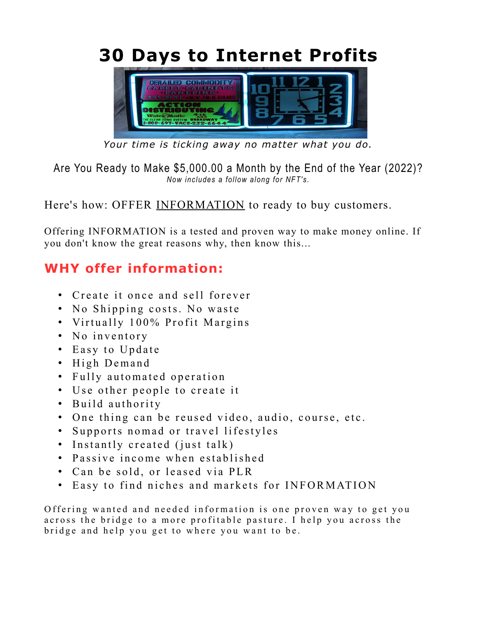**30 Days to Internet Profits**



*Your time is ticking away no matter what you do.*

Are You Ready to Make \$5,000.00 a Month by the End of the Year (2022)? *Now includes a follow along for NFT's.*

Here's how: OFFER INFORMATION to ready to buy customers.

Offering INFORMATION is a tested and proven way to make money online. If you don't know the great reasons why, then know this...

## **WHY offer information:**

- Create it once and sell forever
- No Shipping costs. No waste
- Virtually 100% Profit Margins
- No inventory
- Easy to Update
- High Demand
- Fully automated operation
- Use other people to create it
- Build authority
- One thing can be reused video, audio, course, etc.
- Supports nomad or travel lifestyles
- Instantly created (just talk)
- Passive income when established
- Can be sold, or leased via PLR
- Easy to find niches and markets for INFORMATION

Offering wanted and needed information is one proven way to get you across the bridge to a more profitable pasture. I help you across the bridge and help you get to where you want to be.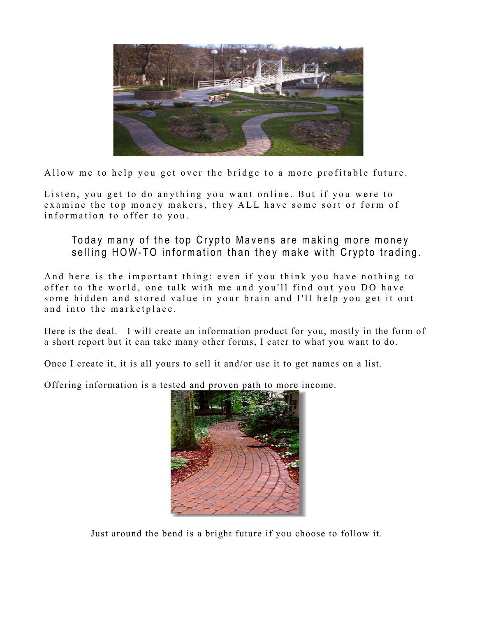

Allow me to help you get over the bridge to a more profitable future.

Listen, you get to do anything you want online. But if you were to examine the top money makers, they ALL have some sort or form of information to offer to you.

Today many of the top Crypto Mavens are making more money selling HOW-TO information than they make with Crypto trading.

And here is the important thing: even if you think you have nothing to offer to the world, one talk with me and you'll find out you DO have some hidden and stored value in your brain and I'll help you get it out and into the marketplace.

Here is the deal. I will create an information product for you, mostly in the form of a short report but it can take many other forms, I cater to what you want to do.

Once I create it, it is all yours to sell it and/or use it to get names on a list.

Offering information is a tested and proven path to more income.



Just around the bend is a bright future if you choose to follow it.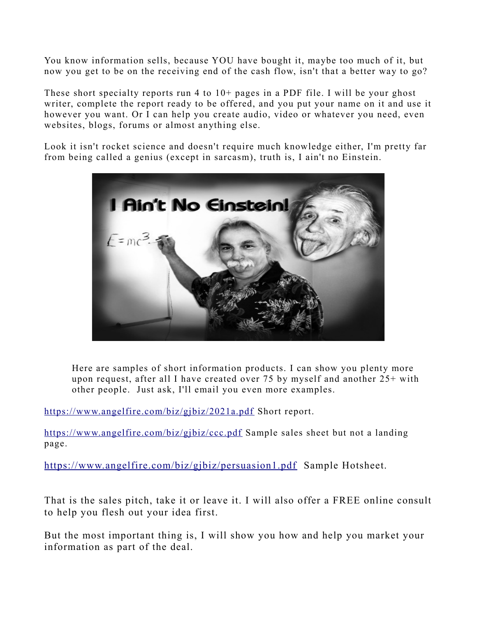You know information sells, because YOU have bought it, maybe too much of it, but now you get to be on the receiving end of the cash flow, isn't that a better way to go?

These short specialty reports run 4 to 10+ pages in a PDF file. I will be your ghost writer, complete the report ready to be offered, and you put your name on it and use it however you want. Or I can help you create audio, video or whatever you need, even websites, blogs, forums or almost anything else.

Look it isn't rocket science and doesn't require much knowledge either, I'm pretty far from being called a genius (except in sarcasm), truth is, I ain't no Einstein.



Here are samples of short information products. I can show you plenty more upon request, after all I have created over 75 by myself and another 25+ with other people. Just ask, I'll email you even more examples.

<https://www.angelfire.com/biz/gjbiz/2021a.pdf>Short report.

<https://www.angelfire.com/biz/gjbiz/ccc.pdf>Sample sales sheet but not a landing page.

<https://www.angelfire.com/biz/gjbiz/persuasion1.pdf>Sample Hotsheet.

That is the sales pitch, take it or leave it. I will also offer a FREE online consult to help you flesh out your idea first.

But the most important thing is, I will show you how and help you market your information as part of the deal.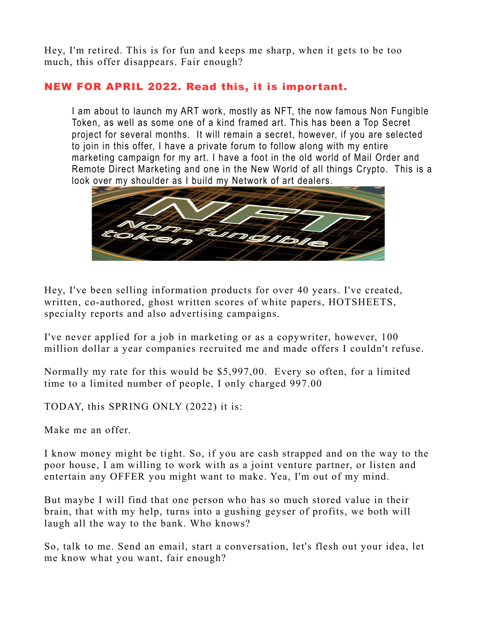Hey, I'm retired. This is for fun and keeps me sharp, when it gets to be too much, this offer disappears. Fair enough?

## NEW FOR APRIL 2022. Read this, it is important.

I am about to launch my ART work, mostly as NFT, the now famous Non Fungible Token, as well as some one of a kind framed art. This has been a Top Secret project for several months. It will remain a secret, however, if you are selected to join in this offer, I have a private forum to follow along with my entire marketing campaign for my art. I have a foot in the old world of Mail Order and Remote Direct Marketing and one in the New World of all things Crypto. This is a look over my shoulder as I build my Network of art dealers.



Hey, I've been selling information products for over 40 years. I've created, written, co-authored, ghost written scores of white papers, HOTSHEETS, specialty reports and also advertising campaigns.

I've never applied for a job in marketing or as a copywriter, however, 100 million dollar a year companies recruited me and made offers I couldn't refuse.

Normally my rate for this would be \$5,997,00. Every so often, for a limited time to a limited number of people, I only charged 997.00

TODAY, this SPRING ONLY (2022) it is:

Make me an offer.

I know money might be tight. So, if you are cash strapped and on the way to the poor house, I am willing to work with as a joint venture partner, or listen and entertain any OFFER you might want to make. Yea, I'm out of my mind.

But maybe I will find that one person who has so much stored value in their brain, that with my help, turns into a gushing geyser of profits, we both will laugh all the way to the bank. Who knows?

So, talk to me. Send an email, start a conversation, let's flesh out your idea, let me know what you want, fair enough?